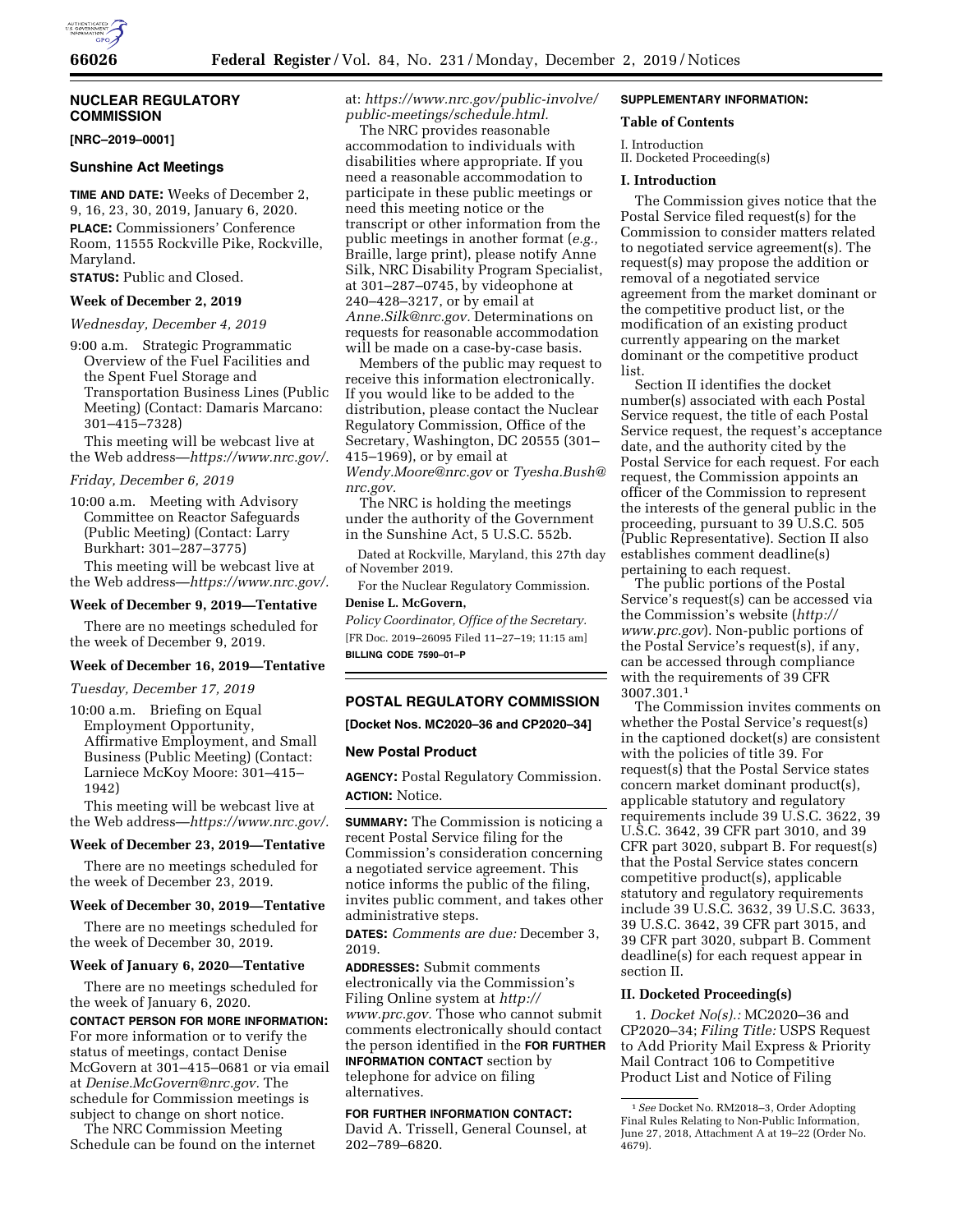

# **NUCLEAR REGULATORY COMMISSION**

**[NRC–2019–0001]** 

#### **Sunshine Act Meetings**

**TIME AND DATE:** Weeks of December 2, 9, 16, 23, 30, 2019, January 6, 2020. **PLACE:** Commissioners' Conference Room, 11555 Rockville Pike, Rockville, Maryland.

**STATUS:** Public and Closed.

## **Week of December 2, 2019**

*Wednesday, December 4, 2019* 

9:00 a.m. Strategic Programmatic Overview of the Fuel Facilities and the Spent Fuel Storage and Transportation Business Lines (Public Meeting) (Contact: Damaris Marcano: 301–415–7328)

This meeting will be webcast live at the Web address—*[https://www.nrc.gov/.](https://www.nrc.gov/)* 

### *Friday, December 6, 2019*

10:00 a.m. Meeting with Advisory Committee on Reactor Safeguards (Public Meeting) (Contact: Larry Burkhart: 301–287–3775)

This meeting will be webcast live at the Web address—*[https://www.nrc.gov/.](https://www.nrc.gov/)* 

## **Week of December 9, 2019—Tentative**

There are no meetings scheduled for the week of December 9, 2019.

## **Week of December 16, 2019—Tentative**

*Tuesday, December 17, 2019* 

10:00 a.m. Briefing on Equal Employment Opportunity, Affirmative Employment, and Small Business (Public Meeting) (Contact: Larniece McKoy Moore: 301–415– 1942)

This meeting will be webcast live at the Web address—*[https://www.nrc.gov/.](https://www.nrc.gov/)* 

### **Week of December 23, 2019—Tentative**

There are no meetings scheduled for the week of December 23, 2019.

#### **Week of December 30, 2019—Tentative**

There are no meetings scheduled for the week of December 30, 2019.

#### **Week of January 6, 2020—Tentative**

There are no meetings scheduled for the week of January 6, 2020.

**CONTACT PERSON FOR MORE INFORMATION:**  For more information or to verify the status of meetings, contact Denise McGovern at 301–415–0681 or via email at *[Denise.McGovern@nrc.gov.](mailto:Denise.McGovern@nrc.gov)* The schedule for Commission meetings is subject to change on short notice.

The NRC Commission Meeting Schedule can be found on the internet at: *[https://www.nrc.gov/public-involve/](https://www.nrc.gov/public-involve/public-meetings/schedule.html) [public-meetings/schedule.html.](https://www.nrc.gov/public-involve/public-meetings/schedule.html)* 

The NRC provides reasonable accommodation to individuals with disabilities where appropriate. If you need a reasonable accommodation to participate in these public meetings or need this meeting notice or the transcript or other information from the public meetings in another format (*e.g.,*  Braille, large print), please notify Anne Silk, NRC Disability Program Specialist, at 301–287–0745, by videophone at 240–428–3217, or by email at *[Anne.Silk@nrc.gov.](mailto:Anne.Silk@nrc.gov)* Determinations on requests for reasonable accommodation will be made on a case-by-case basis.

Members of the public may request to receive this information electronically. If you would like to be added to the distribution, please contact the Nuclear Regulatory Commission, Office of the Secretary, Washington, DC 20555 (301– 415–1969), or by email at *[Wendy.Moore@nrc.gov](mailto:Wendy.Moore@nrc.gov)* or *[Tyesha.Bush@](mailto:Tyesha.Bush@nrc.gov) [nrc.gov.](mailto:Tyesha.Bush@nrc.gov)* 

The NRC is holding the meetings under the authority of the Government in the Sunshine Act, 5 U.S.C. 552b.

Dated at Rockville, Maryland, this 27th day of November 2019.

For the Nuclear Regulatory Commission.

# **Denise L. McGovern,**

*Policy Coordinator, Office of the Secretary.*  [FR Doc. 2019–26095 Filed 11–27–19; 11:15 am] **BILLING CODE 7590–01–P** 

## **POSTAL REGULATORY COMMISSION**

**[Docket Nos. MC2020–36 and CP2020–34]** 

### **New Postal Product**

**AGENCY:** Postal Regulatory Commission. **ACTION:** Notice.

**SUMMARY:** The Commission is noticing a recent Postal Service filing for the Commission's consideration concerning a negotiated service agreement. This notice informs the public of the filing, invites public comment, and takes other administrative steps.

**DATES:** *Comments are due:* December 3, 2019.

**ADDRESSES:** Submit comments electronically via the Commission's Filing Online system at *[http://](http://www.prc.gov) [www.prc.gov.](http://www.prc.gov)* Those who cannot submit comments electronically should contact the person identified in the **FOR FURTHER INFORMATION CONTACT** section by telephone for advice on filing

# alternatives. **FOR FURTHER INFORMATION CONTACT:**

David A. Trissell, General Counsel, at 202–789–6820.

## **SUPPLEMENTARY INFORMATION:**

### **Table of Contents**

I. Introduction

II. Docketed Proceeding(s)

### **I. Introduction**

The Commission gives notice that the Postal Service filed request(s) for the Commission to consider matters related to negotiated service agreement(s). The request(s) may propose the addition or removal of a negotiated service agreement from the market dominant or the competitive product list, or the modification of an existing product currently appearing on the market dominant or the competitive product list.

Section II identifies the docket number(s) associated with each Postal Service request, the title of each Postal Service request, the request's acceptance date, and the authority cited by the Postal Service for each request. For each request, the Commission appoints an officer of the Commission to represent the interests of the general public in the proceeding, pursuant to 39 U.S.C. 505 (Public Representative). Section II also establishes comment deadline(s) pertaining to each request.

The public portions of the Postal Service's request(s) can be accessed via the Commission's website (*[http://](http://www.prc.gov) [www.prc.gov](http://www.prc.gov)*). Non-public portions of the Postal Service's request(s), if any, can be accessed through compliance with the requirements of 39 CFR 3007.301.1

The Commission invites comments on whether the Postal Service's request(s) in the captioned docket(s) are consistent with the policies of title 39. For request(s) that the Postal Service states concern market dominant product(s), applicable statutory and regulatory requirements include 39 U.S.C. 3622, 39 U.S.C. 3642, 39 CFR part 3010, and 39 CFR part 3020, subpart B. For request(s) that the Postal Service states concern competitive product(s), applicable statutory and regulatory requirements include 39 U.S.C. 3632, 39 U.S.C. 3633, 39 U.S.C. 3642, 39 CFR part 3015, and 39 CFR part 3020, subpart B. Comment deadline(s) for each request appear in section II.

## **II. Docketed Proceeding(s)**

1. *Docket No(s).:* MC2020–36 and CP2020–34; *Filing Title:* USPS Request to Add Priority Mail Express & Priority Mail Contract 106 to Competitive Product List and Notice of Filing

<sup>1</sup>*See* Docket No. RM2018–3, Order Adopting Final Rules Relating to Non-Public Information, June 27, 2018, Attachment A at 19–22 (Order No. 4679).